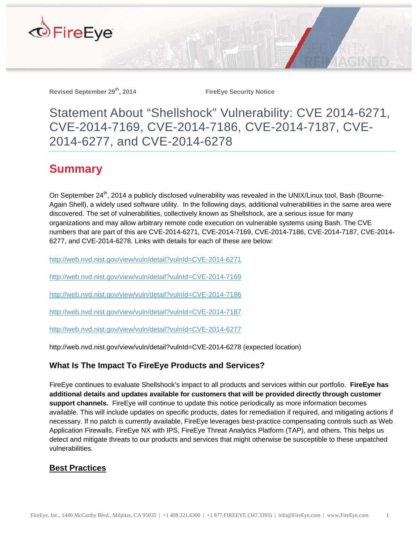

Revised September 29<sup>th</sup>, 2014 **FireEye Security Notice** 

Statement About "Shellshock" Vulnerability: CVE 2014-6271, CVE-2014-7169, CVE-2014-7186, CVE-2014-7187, CVE-2014-6277, and CVE-2014-6278

## **Summary**

On September 24<sup>th</sup>, 2014 a publicly disclosed vulnerability was revealed in the UNIX/Linux tool, Bash (Bourne-Again Shell), a widely used software utility. In the following days, additional vulnerabilities in the same area were discovered. The set of vulnerabilities, collectively known as Shellshock, are a serious issue for many organizations and may allow arbitrary remote code execution on vulnerable systems using Bash. The CVE numbers that are part of this are CVE-2014-6271, CVE-2014-7169, CVE-2014-7186, CVE-2014-7187, CVE-2014- 6277, and CVE-2014-6278. Links with details for each of these are below:

http://web.nvd.nist.gov/view/vuln/detail?vulnId=CVE-2014-6271

http://web.nvd.nist.gov/view/vuln/detail?vulnId=CVE-2014-7169

http://web.nvd.nist.gov/view/vuln/detail?vulnId=CVE-2014-7186

http://web.nvd.nist.gov/view/vuln/detail?vulnId=CVE-2014-7187

http://web.nvd.nist.gov/view/vuln/detail?vulnId=CVE-2014-6277

http://web.nvd.nist.gov/view/vuln/detail?vulnId=CVE-2014-6278 (expected location)

## **What Is The Impact To FireEye Products and Services?**

FireEye continues to evaluate Shellshock's impact to all products and services within our portfolio. **FireEye has additional details and updates available for customers that will be provided directly through customer support channels.** FireEye will continue to update this notice periodically as more information becomes available. This will include updates on specific products, dates for remediation if required, and mitigating actions if necessary. If no patch is currently available, FireEye leverages best-practice compensating controls such as Web Application Firewalls, FireEye NX with IPS, FireEye Threat Analytics Platform (TAP), and others. This helps us detect and mitigate threats to our products and services that might otherwise be susceptible to these unpatched vulnerabilities.

## **Best Practices**